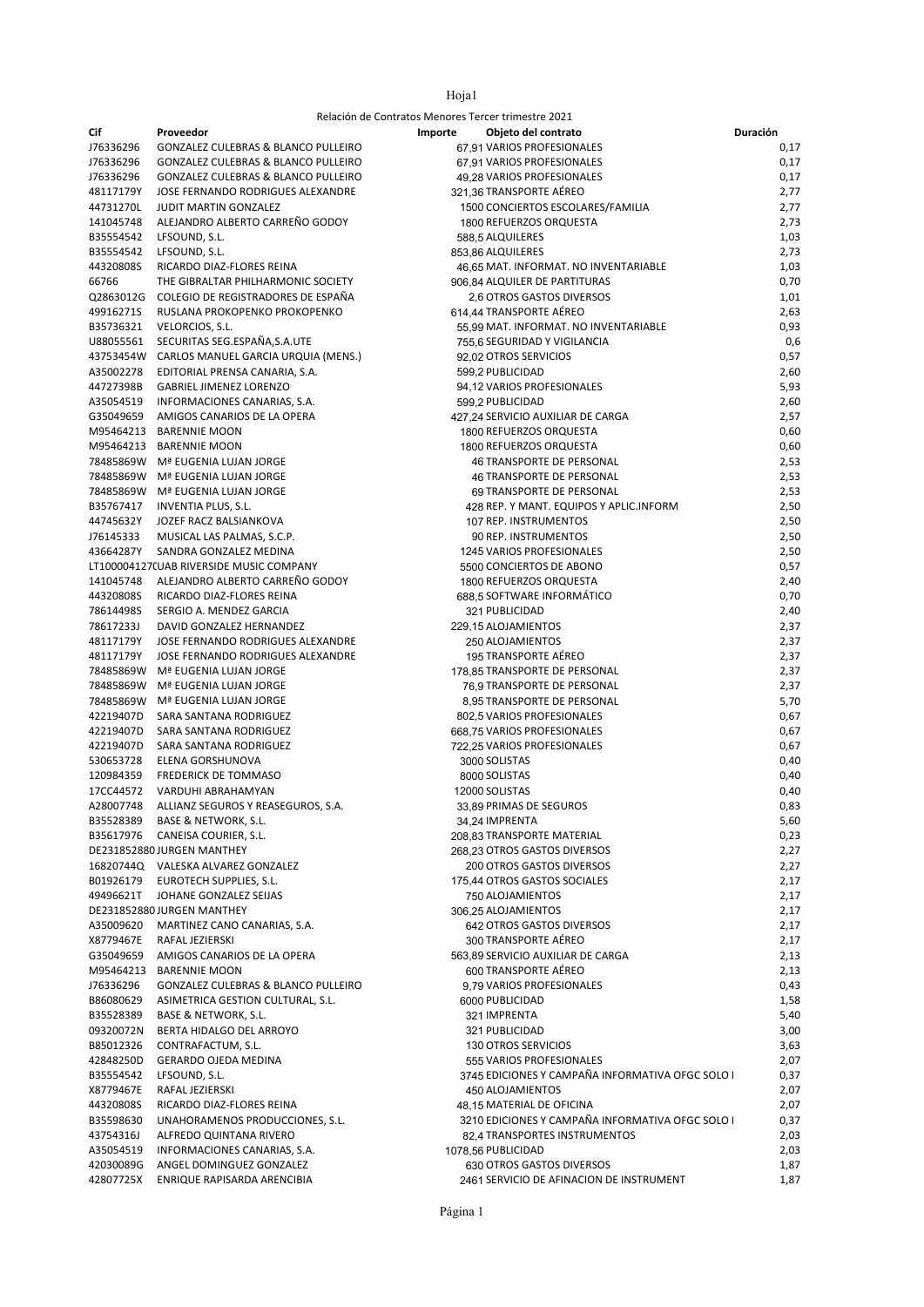```
Hoja1
```

|           | Relación de Contratos Menores Tercer trimestre 2021 |                                                  |          |  |  |  |  |
|-----------|-----------------------------------------------------|--------------------------------------------------|----------|--|--|--|--|
| Cif       | Proveedor                                           | Importe<br>Objeto del contrato                   | Duración |  |  |  |  |
| J76336296 | GONZALEZ CULEBRAS & BLANCO PULLEIRO                 | 67,91 VARIOS PROFESIONALES                       | 0,17     |  |  |  |  |
| J76336296 | GONZALEZ CULEBRAS & BLANCO PULLEIRO                 | 67,91 VARIOS PROFESIONALES                       | 0,17     |  |  |  |  |
| J76336296 | GONZALEZ CULEBRAS & BLANCO PULLEIRO                 | 49,28 VARIOS PROFESIONALES                       | 0,17     |  |  |  |  |
| 48117179Y | JOSE FERNANDO RODRIGUES ALEXANDRE                   | 321,36 TRANSPORTE AÉREO                          | 2,77     |  |  |  |  |
| 44731270L | JUDIT MARTIN GONZALEZ                               | 1500 CONCIERTOS ESCOLARES/FAMILIA                | 2,77     |  |  |  |  |
| 141045748 | ALEJANDRO ALBERTO CARREÑO GODOY                     | 1800 REFUERZOS ORQUESTA                          | 2,73     |  |  |  |  |
| B35554542 | LFSOUND, S.L.                                       | 588,5 ALQUILERES                                 | 1,03     |  |  |  |  |
| B35554542 | LFSOUND, S.L.                                       | 853,86 ALQUILERES                                | 2,73     |  |  |  |  |
| 44320808S | RICARDO DIAZ-FLORES REINA                           | 46.65 MAT. INFORMAT. NO INVENTARIABLE            | 1,03     |  |  |  |  |
| 66766     | THE GIBRALTAR PHILHARMONIC SOCIETY                  | 906,84 ALQUILER DE PARTITURAS                    | 0,70     |  |  |  |  |
|           |                                                     |                                                  |          |  |  |  |  |
|           | Q2863012G COLEGIO DE REGISTRADORES DE ESPAÑA        | 2.6 OTROS GASTOS DIVERSOS                        | 1,01     |  |  |  |  |
| 49916271S | RUSLANA PROKOPENKO PROKOPENKO                       | 614.44 TRANSPORTE AÉREO                          | 2,63     |  |  |  |  |
| B35736321 | VELORCIOS, S.L.                                     | 55.99 MAT. INFORMAT. NO INVENTARIABLE            | 0,93     |  |  |  |  |
|           | U88055561 SECURITAS SEG.ESPAÑA, S.A.UTE             | 755,6 SEGURIDAD Y VIGILANCIA                     | 0,6      |  |  |  |  |
|           | 43753454W CARLOS MANUEL GARCIA URQUIA (MENS.)       | 92,02 OTROS SERVICIOS                            | 0,57     |  |  |  |  |
| A35002278 | EDITORIAL PRENSA CANARIA, S.A.                      | 599,2 PUBLICIDAD                                 | 2,60     |  |  |  |  |
| 44727398B | <b>GABRIEL JIMENEZ LORENZO</b>                      | 94,12 VARIOS PROFESIONALES                       | 5,93     |  |  |  |  |
| A35054519 | INFORMACIONES CANARIAS, S.A.                        | 599,2 PUBLICIDAD                                 | 2,60     |  |  |  |  |
|           | G35049659 AMIGOS CANARIOS DE LA OPERA               | 427.24 SERVICIO AUXILIAR DE CARGA                | 2,57     |  |  |  |  |
|           | M95464213 BARENNIE MOON                             | 1800 REFUERZOS ORQUESTA                          | 0,60     |  |  |  |  |
|           | M95464213 BARENNIE MOON                             | 1800 REFUERZOS ORQUESTA                          | 0,60     |  |  |  |  |
|           | 78485869W Mª EUGENIA LUJAN JORGE                    | <b>46 TRANSPORTE DE PERSONAL</b>                 | 2,53     |  |  |  |  |
|           | 78485869W Mª EUGENIA LUJAN JORGE                    |                                                  |          |  |  |  |  |
|           |                                                     | 46 TRANSPORTE DE PERSONAL                        | 2,53     |  |  |  |  |
|           | 78485869W Mª EUGENIA LUJAN JORGE                    | 69 TRANSPORTE DE PERSONAL                        | 2,53     |  |  |  |  |
| B35767417 | <b>INVENTIA PLUS, S.L.</b>                          | 428 REP. Y MANT. EQUIPOS Y APLIC.INFORM          | 2,50     |  |  |  |  |
| 44745632Y | JOZEF RACZ BALSIANKOVA                              | 107 REP. INSTRUMENTOS                            | 2,50     |  |  |  |  |
| J76145333 | MUSICAL LAS PALMAS, S.C.P.                          | 90 REP. INSTRUMENTOS                             | 2,50     |  |  |  |  |
| 43664287Y | SANDRA GONZALEZ MEDINA                              | 1245 VARIOS PROFESIONALES                        | 2,50     |  |  |  |  |
|           | LT100004127(UAB RIVERSIDE MUSIC COMPANY             | 5500 CONCIERTOS DE ABONO                         | 0,57     |  |  |  |  |
| 141045748 | ALEJANDRO ALBERTO CARREÑO GODOY                     | 1800 REFUERZOS ORQUESTA                          | 2,40     |  |  |  |  |
| 44320808S | RICARDO DIAZ-FLORES REINA                           | 688,5 SOFTWARE INFORMÁTICO                       | 0,70     |  |  |  |  |
| 78614498S | SERGIO A. MENDEZ GARCIA                             | 321 PUBLICIDAD                                   | 2,40     |  |  |  |  |
| 78617233J | DAVID GONZALEZ HERNANDEZ                            | 229,15 ALOJAMIENTOS                              | 2,37     |  |  |  |  |
| 48117179Y | JOSE FERNANDO RODRIGUES ALEXANDRE                   | 250 ALOJAMIENTOS                                 |          |  |  |  |  |
|           |                                                     |                                                  | 2,37     |  |  |  |  |
| 48117179Y | JOSE FERNANDO RODRIGUES ALEXANDRE                   | 195 TRANSPORTE AÉREO                             | 2,37     |  |  |  |  |
| 78485869W | Mª EUGENIA LUJAN JORGE                              | 178,85 TRANSPORTE DE PERSONAL                    | 2,37     |  |  |  |  |
| 78485869W | Mª EUGENIA LUJAN JORGE                              | 76,9 TRANSPORTE DE PERSONAL                      | 2,37     |  |  |  |  |
|           | 78485869W Mª EUGENIA LUJAN JORGE                    | 8,95 TRANSPORTE DE PERSONAL                      | 5,70     |  |  |  |  |
|           | 42219407D SARA SANTANA RODRIGUEZ                    | 802,5 VARIOS PROFESIONALES                       | 0,67     |  |  |  |  |
|           | 42219407D SARA SANTANA RODRIGUEZ                    | 668,75 VARIOS PROFESIONALES                      | 0,67     |  |  |  |  |
|           | 42219407D SARA SANTANA RODRIGUEZ                    | 722,25 VARIOS PROFESIONALES                      | 0,67     |  |  |  |  |
| 530653728 | ELENA GORSHUNOVA                                    | 3000 SOLISTAS                                    | 0,40     |  |  |  |  |
| 120984359 | <b>FREDERICK DE TOMMASO</b>                         | 8000 SOLISTAS                                    | 0,40     |  |  |  |  |
|           | 17CC44572 VARDUHI ABRAHAMYAN                        | 12000 SOLISTAS                                   | 0,40     |  |  |  |  |
|           | A28007748 ALLIANZ SEGUROS Y REASEGUROS, S.A.        | 33,89 PRIMAS DE SEGUROS                          | 0,83     |  |  |  |  |
|           |                                                     | 34.24 IMPRENTA                                   |          |  |  |  |  |
|           | B35528389 BASE & NETWORK, S.L.                      |                                                  | 5,60     |  |  |  |  |
|           | B35617976 CANEISA COURIER, S.L.                     | 208,83 TRANSPORTE MATERIAL                       | 0,23     |  |  |  |  |
|           | DE231852880 JURGEN MANTHEY                          | 268,23 OTROS GASTOS DIVERSOS                     | 2,27     |  |  |  |  |
|           | 16820744Q VALESKA ALVAREZ GONZALEZ                  | 200 OTROS GASTOS DIVERSOS                        | 2,27     |  |  |  |  |
|           | B01926179 EUROTECH SUPPLIES, S.L.                   | 175,44 OTROS GASTOS SOCIALES                     | 2,17     |  |  |  |  |
|           | 49496621T JOHANE GONZALEZ SEIJAS                    | 750 ALOJAMIENTOS                                 | 2,17     |  |  |  |  |
|           | DE231852880 JURGEN MANTHEY                          | 306,25 ALOJAMIENTOS                              | 2,17     |  |  |  |  |
|           | A35009620 MARTINEZ CANO CANARIAS, S.A.              | 642 OTROS GASTOS DIVERSOS                        | 2,17     |  |  |  |  |
| X8779467E | RAFAL JEZIERSKI                                     | 300 TRANSPORTE AÉREO                             | 2,17     |  |  |  |  |
| G35049659 | AMIGOS CANARIOS DE LA OPERA                         | 563,89 SERVICIO AUXILIAR DE CARGA                | 2,13     |  |  |  |  |
|           | M95464213 BARENNIE MOON                             | 600 TRANSPORTE AÉREO                             | 2,13     |  |  |  |  |
| J76336296 | GONZALEZ CULEBRAS & BLANCO PULLEIRO                 | 9,79 VARIOS PROFESIONALES                        | 0,43     |  |  |  |  |
|           |                                                     |                                                  |          |  |  |  |  |
| B86080629 | ASIMETRICA GESTION CULTURAL, S.L.                   | 6000 PUBLICIDAD                                  | 1,58     |  |  |  |  |
| B35528389 | BASE & NETWORK, S.L.                                | 321 IMPRENTA                                     | 5,40     |  |  |  |  |
| 09320072N | BERTA HIDALGO DEL ARROYO                            | 321 PUBLICIDAD                                   | 3,00     |  |  |  |  |
| B85012326 | CONTRAFACTUM, S.L.                                  | <b>130 OTROS SERVICIOS</b>                       | 3,63     |  |  |  |  |
| 42848250D | GERARDO OJEDA MEDINA                                | 555 VARIOS PROFESIONALES                         | 2,07     |  |  |  |  |
| B35554542 | LFSOUND, S.L.                                       | 3745 EDICIONES Y CAMPAÑA INFORMATIVA OFGC SOLO I | 0,37     |  |  |  |  |
| X8779467E | RAFAL JEZIERSKI                                     | 450 ALOJAMIENTOS                                 | 2,07     |  |  |  |  |
| 44320808S | RICARDO DIAZ-FLORES REINA                           | 48,15 MATERIAL DE OFICINA                        | 2,07     |  |  |  |  |
| B35598630 | UNAHORAMENOS PRODUCCIONES, S.L.                     | 3210 EDICIONES Y CAMPAÑA INFORMATIVA OFGC SOLO I | 0,37     |  |  |  |  |
| 43754316J | ALFREDO QUINTANA RIVERO                             | 82,4 TRANSPORTES INSTRUMENTOS                    | 2,03     |  |  |  |  |
| A35054519 | INFORMACIONES CANARIAS, S.A.                        | 1078,56 PUBLICIDAD                               | 2,03     |  |  |  |  |
|           | 42030089G ANGEL DOMINGUEZ GONZALEZ                  | 630 OTROS GASTOS DIVERSOS                        | 1,87     |  |  |  |  |
|           |                                                     |                                                  |          |  |  |  |  |
| 42807725X | ENRIQUE RAPISARDA ARENCIBIA                         | 2461 SERVICIO DE AFINACION DE INSTRUMENT         | 1,87     |  |  |  |  |